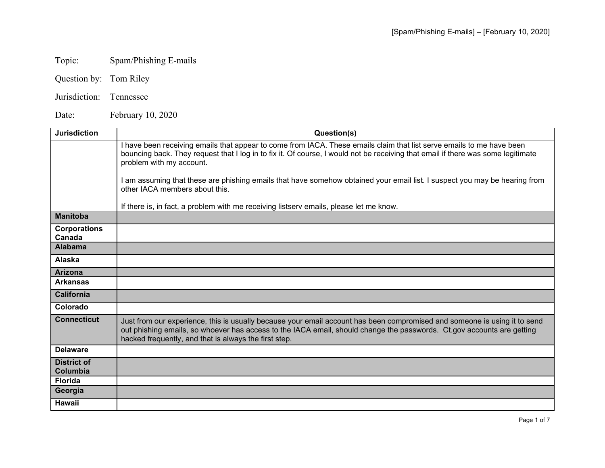## Topic: Spam/Phishing E-mails

- Question by: Tom Riley
- Jurisdiction: Tennessee

Date: February 10, 2020

| <b>Jurisdiction</b>                   | Question(s)                                                                                                                                                                                                                                                                                                  |
|---------------------------------------|--------------------------------------------------------------------------------------------------------------------------------------------------------------------------------------------------------------------------------------------------------------------------------------------------------------|
|                                       | I have been receiving emails that appear to come from IACA. These emails claim that list serve emails to me have been<br>bouncing back. They request that I log in to fix it. Of course, I would not be receiving that email if there was some legitimate<br>problem with my account.                        |
|                                       | I am assuming that these are phishing emails that have somehow obtained your email list. I suspect you may be hearing from<br>other IACA members about this.                                                                                                                                                 |
|                                       | If there is, in fact, a problem with me receiving listserv emails, please let me know.                                                                                                                                                                                                                       |
| <b>Manitoba</b>                       |                                                                                                                                                                                                                                                                                                              |
| <b>Corporations</b><br>Canada         |                                                                                                                                                                                                                                                                                                              |
| <b>Alabama</b>                        |                                                                                                                                                                                                                                                                                                              |
| <b>Alaska</b>                         |                                                                                                                                                                                                                                                                                                              |
| <b>Arizona</b>                        |                                                                                                                                                                                                                                                                                                              |
| <b>Arkansas</b>                       |                                                                                                                                                                                                                                                                                                              |
| <b>California</b>                     |                                                                                                                                                                                                                                                                                                              |
| Colorado                              |                                                                                                                                                                                                                                                                                                              |
| <b>Connecticut</b>                    | Just from our experience, this is usually because your email account has been compromised and someone is using it to send<br>out phishing emails, so whoever has access to the IACA email, should change the passwords. Ct.gov accounts are getting<br>hacked frequently, and that is always the first step. |
| <b>Delaware</b>                       |                                                                                                                                                                                                                                                                                                              |
| <b>District of</b><br><b>Columbia</b> |                                                                                                                                                                                                                                                                                                              |
| <b>Florida</b>                        |                                                                                                                                                                                                                                                                                                              |
| Georgia                               |                                                                                                                                                                                                                                                                                                              |
| <b>Hawaii</b>                         |                                                                                                                                                                                                                                                                                                              |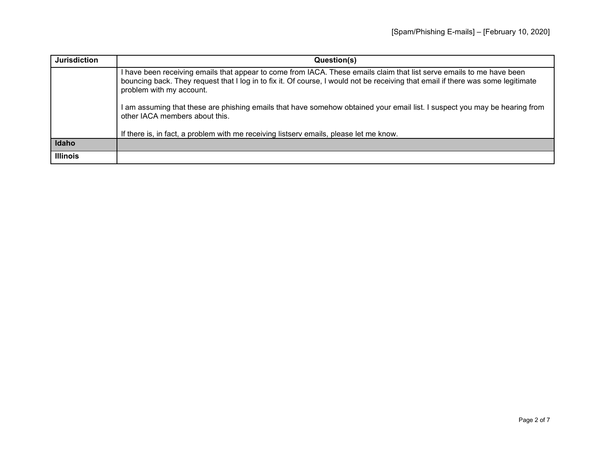| <b>Jurisdiction</b> | Question(s)                                                                                                                                                                                                                                                                           |
|---------------------|---------------------------------------------------------------------------------------------------------------------------------------------------------------------------------------------------------------------------------------------------------------------------------------|
|                     | I have been receiving emails that appear to come from IACA. These emails claim that list serve emails to me have been<br>bouncing back. They request that I log in to fix it. Of course, I would not be receiving that email if there was some legitimate<br>problem with my account. |
|                     | I am assuming that these are phishing emails that have somehow obtained your email list. I suspect you may be hearing from<br>other IACA members about this.                                                                                                                          |
|                     | If there is, in fact, a problem with me receiving listserv emails, please let me know.                                                                                                                                                                                                |
| Idaho               |                                                                                                                                                                                                                                                                                       |
| <b>Illinois</b>     |                                                                                                                                                                                                                                                                                       |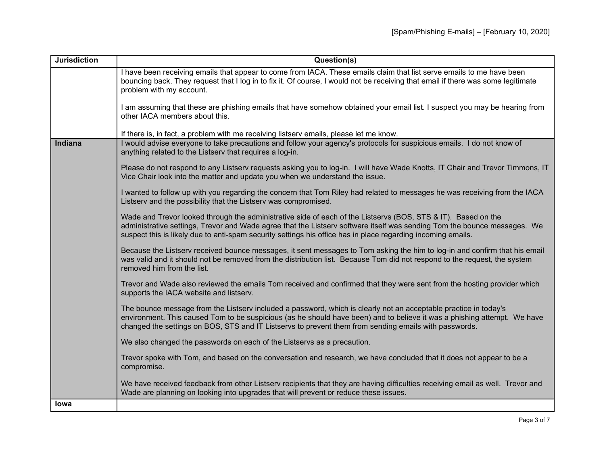| <b>Jurisdiction</b> | Question(s)                                                                                                                                                                                                                                                                                                                                               |
|---------------------|-----------------------------------------------------------------------------------------------------------------------------------------------------------------------------------------------------------------------------------------------------------------------------------------------------------------------------------------------------------|
|                     | I have been receiving emails that appear to come from IACA. These emails claim that list serve emails to me have been<br>bouncing back. They request that I log in to fix it. Of course, I would not be receiving that email if there was some legitimate<br>problem with my account.                                                                     |
|                     | I am assuming that these are phishing emails that have somehow obtained your email list. I suspect you may be hearing from<br>other IACA members about this.                                                                                                                                                                                              |
|                     | If there is, in fact, a problem with me receiving listserv emails, please let me know.                                                                                                                                                                                                                                                                    |
| Indiana             | I would advise everyone to take precautions and follow your agency's protocols for suspicious emails. I do not know of<br>anything related to the Listserv that requires a log-in.                                                                                                                                                                        |
|                     | Please do not respond to any Listserv requests asking you to log-in. I will have Wade Knotts, IT Chair and Trevor Timmons, IT<br>Vice Chair look into the matter and update you when we understand the issue.                                                                                                                                             |
|                     | I wanted to follow up with you regarding the concern that Tom Riley had related to messages he was receiving from the IACA<br>Listserv and the possibility that the Listserv was compromised.                                                                                                                                                             |
|                     | Wade and Trevor looked through the administrative side of each of the Listservs (BOS, STS & IT). Based on the<br>administrative settings, Trevor and Wade agree that the Listserv software itself was sending Tom the bounce messages. We<br>suspect this is likely due to anti-spam security settings his office has in place regarding incoming emails. |
|                     | Because the Listserv received bounce messages, it sent messages to Tom asking the him to log-in and confirm that his email<br>was valid and it should not be removed from the distribution list. Because Tom did not respond to the request, the system<br>removed him from the list.                                                                     |
|                     | Trevor and Wade also reviewed the emails Tom received and confirmed that they were sent from the hosting provider which<br>supports the IACA website and listserv.                                                                                                                                                                                        |
|                     | The bounce message from the Listserv included a password, which is clearly not an acceptable practice in today's<br>environment. This caused Tom to be suspicious (as he should have been) and to believe it was a phishing attempt. We have<br>changed the settings on BOS, STS and IT Listservs to prevent them from sending emails with passwords.     |
|                     | We also changed the passwords on each of the Listservs as a precaution.                                                                                                                                                                                                                                                                                   |
|                     | Trevor spoke with Tom, and based on the conversation and research, we have concluded that it does not appear to be a<br>compromise.                                                                                                                                                                                                                       |
|                     | We have received feedback from other Listserv recipients that they are having difficulties receiving email as well. Trevor and<br>Wade are planning on looking into upgrades that will prevent or reduce these issues.                                                                                                                                    |
| lowa                |                                                                                                                                                                                                                                                                                                                                                           |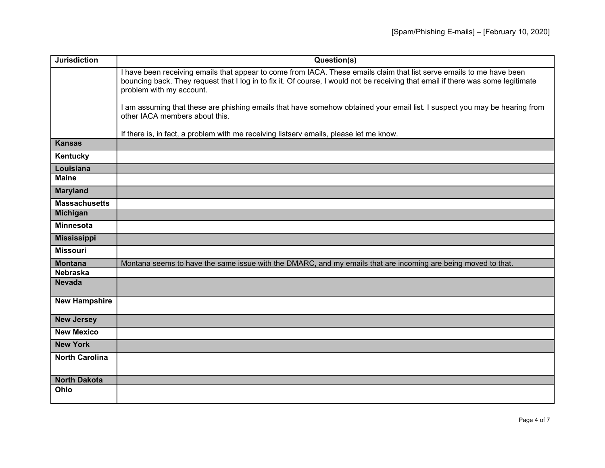| <b>Jurisdiction</b>   | Question(s)                                                                                                                                                                                                                                                                           |
|-----------------------|---------------------------------------------------------------------------------------------------------------------------------------------------------------------------------------------------------------------------------------------------------------------------------------|
|                       | I have been receiving emails that appear to come from IACA. These emails claim that list serve emails to me have been<br>bouncing back. They request that I log in to fix it. Of course, I would not be receiving that email if there was some legitimate<br>problem with my account. |
|                       | I am assuming that these are phishing emails that have somehow obtained your email list. I suspect you may be hearing from<br>other IACA members about this.                                                                                                                          |
|                       | If there is, in fact, a problem with me receiving listserv emails, please let me know.                                                                                                                                                                                                |
| <b>Kansas</b>         |                                                                                                                                                                                                                                                                                       |
| Kentucky              |                                                                                                                                                                                                                                                                                       |
| Louisiana             |                                                                                                                                                                                                                                                                                       |
| <b>Maine</b>          |                                                                                                                                                                                                                                                                                       |
| <b>Maryland</b>       |                                                                                                                                                                                                                                                                                       |
| <b>Massachusetts</b>  |                                                                                                                                                                                                                                                                                       |
| <b>Michigan</b>       |                                                                                                                                                                                                                                                                                       |
| <b>Minnesota</b>      |                                                                                                                                                                                                                                                                                       |
| <b>Mississippi</b>    |                                                                                                                                                                                                                                                                                       |
| <b>Missouri</b>       |                                                                                                                                                                                                                                                                                       |
| <b>Montana</b>        | Montana seems to have the same issue with the DMARC, and my emails that are incoming are being moved to that.                                                                                                                                                                         |
| <b>Nebraska</b>       |                                                                                                                                                                                                                                                                                       |
| <b>Nevada</b>         |                                                                                                                                                                                                                                                                                       |
| <b>New Hampshire</b>  |                                                                                                                                                                                                                                                                                       |
| <b>New Jersey</b>     |                                                                                                                                                                                                                                                                                       |
| <b>New Mexico</b>     |                                                                                                                                                                                                                                                                                       |
| <b>New York</b>       |                                                                                                                                                                                                                                                                                       |
| <b>North Carolina</b> |                                                                                                                                                                                                                                                                                       |
| <b>North Dakota</b>   |                                                                                                                                                                                                                                                                                       |
| Ohio                  |                                                                                                                                                                                                                                                                                       |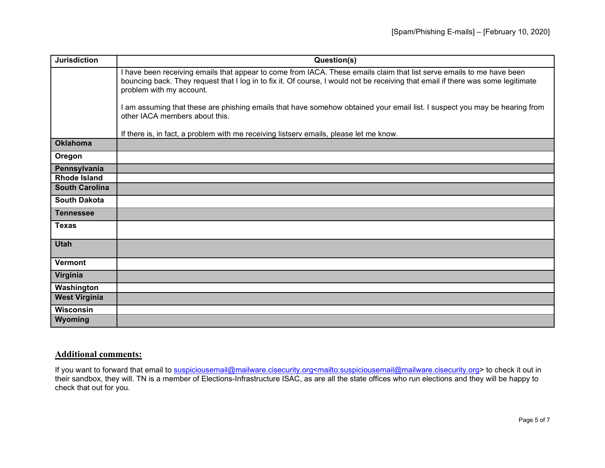| <b>Jurisdiction</b>   | Question(s)                                                                                                                                                                                                                                                                           |
|-----------------------|---------------------------------------------------------------------------------------------------------------------------------------------------------------------------------------------------------------------------------------------------------------------------------------|
|                       | I have been receiving emails that appear to come from IACA. These emails claim that list serve emails to me have been<br>bouncing back. They request that I log in to fix it. Of course, I would not be receiving that email if there was some legitimate<br>problem with my account. |
|                       | am assuming that these are phishing emails that have somehow obtained your email list. I suspect you may be hearing from<br>other IACA members about this.                                                                                                                            |
|                       | If there is, in fact, a problem with me receiving listserv emails, please let me know.                                                                                                                                                                                                |
| <b>Oklahoma</b>       |                                                                                                                                                                                                                                                                                       |
| Oregon                |                                                                                                                                                                                                                                                                                       |
| Pennsylvania          |                                                                                                                                                                                                                                                                                       |
| <b>Rhode Island</b>   |                                                                                                                                                                                                                                                                                       |
| <b>South Carolina</b> |                                                                                                                                                                                                                                                                                       |
| <b>South Dakota</b>   |                                                                                                                                                                                                                                                                                       |
| <b>Tennessee</b>      |                                                                                                                                                                                                                                                                                       |
| <b>Texas</b>          |                                                                                                                                                                                                                                                                                       |
| <b>Utah</b>           |                                                                                                                                                                                                                                                                                       |
| <b>Vermont</b>        |                                                                                                                                                                                                                                                                                       |
| Virginia              |                                                                                                                                                                                                                                                                                       |
| Washington            |                                                                                                                                                                                                                                                                                       |
| <b>West Virginia</b>  |                                                                                                                                                                                                                                                                                       |
| Wisconsin             |                                                                                                                                                                                                                                                                                       |
| Wyoming               |                                                                                                                                                                                                                                                                                       |

## **Additional comments:**

If you want to forward that email to [suspiciousemail@mailware.cisecurity.org<mailto:suspiciousemail@mailware.cisecurity.org>](mailto:suspiciousemail@mailware.cisecurity.org%3cmailto:suspiciousemail@mailware.cisecurity.org) to check it out in their sandbox, they will. TN is a member of Elections-Infrastructure ISAC, as are all the state offices who run elections and they will be happy to check that out for you.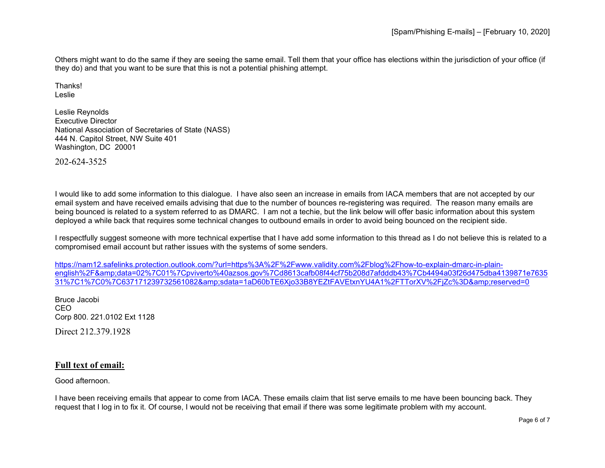Others might want to do the same if they are seeing the same email. Tell them that your office has elections within the jurisdiction of your office (if they do) and that you want to be sure that this is not a potential phishing attempt.

Thanks! Leslie

Leslie Reynolds Executive Director National Association of Secretaries of State (NASS) 444 N. Capitol Street, NW Suite 401 Washington, DC 20001

202-624-3525

I would like to add some information to this dialogue. I have also seen an increase in emails from IACA members that are not accepted by our email system and have received emails advising that due to the number of bounces re-registering was required. The reason many emails are being bounced is related to a system referred to as DMARC. I am not a techie, but the link below will offer basic information about this system deployed a while back that requires some technical changes to outbound emails in order to avoid being bounced on the recipient side.

I respectfully suggest someone with more technical expertise that I have add some information to this thread as I do not believe this is related to a compromised email account but rather issues with the systems of some senders.

[https://nam12.safelinks.protection.outlook.com/?url=https%3A%2F%2Fwww.validity.com%2Fblog%2Fhow-to-explain-dmarc-in-plain](https://nam12.safelinks.protection.outlook.com/?url=https%3A%2F%2Fwww.validity.com%2Fblog%2Fhow-to-explain-dmarc-in-plain-english%2F&data=02%7C01%7Cpviverto%40azsos.gov%7Cd8613cafb08f44cf75b208d7afdddb43%7Cb4494a03f26d475dba4139871e763531%7C1%7C0%7C637171239732561082&sdata=1aD60bTE6Xjo33B8YEZtFAVEtxnYU4A1%2FTTorXV%2FjZc%3D&reserved=0)[english%2F&data=02%7C01%7Cpviverto%40azsos.gov%7Cd8613cafb08f44cf75b208d7afdddb43%7Cb4494a03f26d475dba4139871e7635](https://nam12.safelinks.protection.outlook.com/?url=https%3A%2F%2Fwww.validity.com%2Fblog%2Fhow-to-explain-dmarc-in-plain-english%2F&data=02%7C01%7Cpviverto%40azsos.gov%7Cd8613cafb08f44cf75b208d7afdddb43%7Cb4494a03f26d475dba4139871e763531%7C1%7C0%7C637171239732561082&sdata=1aD60bTE6Xjo33B8YEZtFAVEtxnYU4A1%2FTTorXV%2FjZc%3D&reserved=0)  $31\%$ 7C1%7C0%7C637171239732561082&amp:sdata=1aD60bTE6Xjo33B8YEZtFAVEtxnYU4A1%2FTTorXV%2FiZc%3D&amp:reserved=0

Bruce Jacobi CEO Corp 800. 221.0102 Ext 1128 Direct 212.379.1928

## **Full text of email:**

Good afternoon.

I have been receiving emails that appear to come from IACA. These emails claim that list serve emails to me have been bouncing back. They request that I log in to fix it. Of course, I would not be receiving that email if there was some legitimate problem with my account.